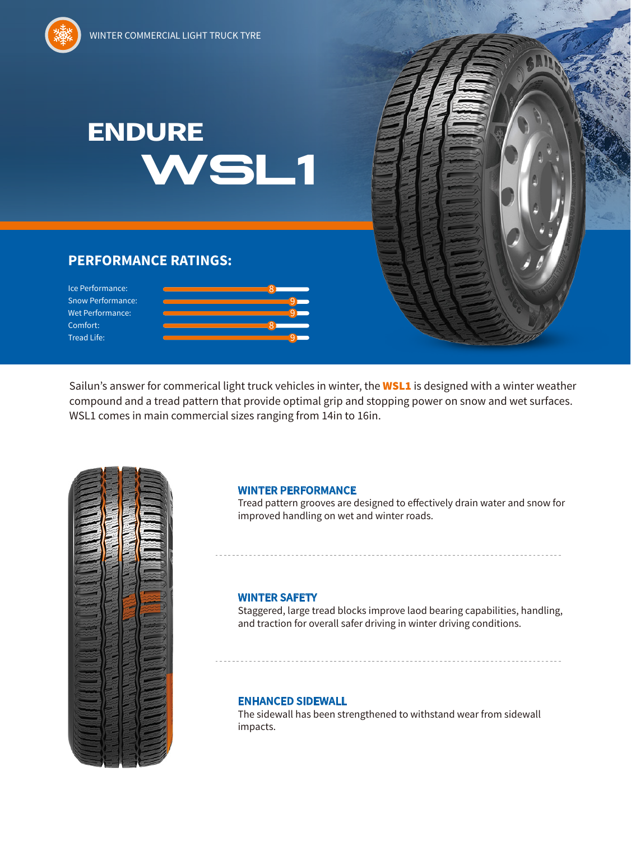# **WSL1 ENDURE**

## **PERFORMANCE RATINGS:**

Ice Performance: Snow Performance: Wet Performance: Comfort: Tread Life:



Sailun's answer for commerical light truck vehicles in winter, the **WSL1** is designed with a winter weather compound and a tread pattern that provide optimal grip and stopping power on snow and wet surfaces. WSL1 comes in main commercial sizes ranging from 14in to 16in.



#### **WINTER PERFORMANCE**

Tread pattern grooves are designed to effectively drain water and snow for improved handling on wet and winter roads.

#### **WINTER SAFETY**

Staggered, large tread blocks improve laod bearing capabilities, handling, and traction for overall safer driving in winter driving conditions.

### **ENHANCED SIDEWALL**

The sidewall has been strengthened to withstand wear from sidewall impacts.